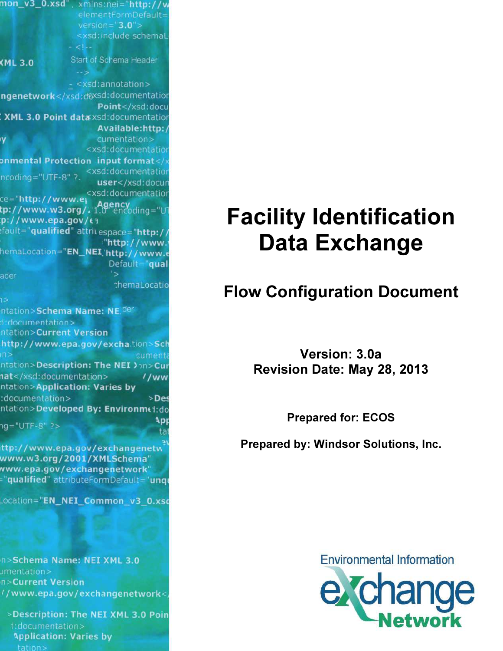# Facility Identification Data Exchange

## Flow Configuration Document

Version: 3.0a Revision Date: May 28, 2013

Prepared for: ECOS

Prepared by: Windsor Solutions, Inc.



|                       | elementFormDefault=                                                                       |                         |
|-----------------------|-------------------------------------------------------------------------------------------|-------------------------|
|                       | $version="3.0">$                                                                          |                         |
|                       | <xsd:include schemal<="" th=""><th></th></xsd:include>                                    |                         |
|                       |                                                                                           |                         |
|                       | Start of Schema Header                                                                    | (ML 3.0                 |
|                       |                                                                                           |                         |
|                       | - <xsd:annotation></xsd:annotation>                                                       |                         |
|                       | ngenetwork <th></th>                                                                      |                         |
|                       | Point <th></th>                                                                           |                         |
|                       | XML 3.0 Point data xsd: documentation                                                     |                         |
|                       | Available:http:/                                                                          |                         |
|                       | cumentation>                                                                              | ÿ                       |
|                       | <xsd:documentation< th=""><th></th></xsd:documentation<>                                  |                         |
|                       | <b>Inmental Protection input format</b>                                                   |                         |
|                       | <xsd:documentation< th=""><th><math>ncoding = "UTE-8"</math> ?.</th></xsd:documentation<> | $ncoding = "UTE-8"$ ?.  |
|                       | user <th></th>                                                                            |                         |
|                       | <xsd:documentation< th=""><th>ce="http://www.e</th></xsd:documentation<>                  | ce="http://www.e        |
|                       | tp://www.w3.org/.'1.0"encoding="U                                                         |                         |
| <b>Facility Ide</b>   |                                                                                           | p://www.epa.gov/£3      |
|                       | fault="qualified" attrit espace="http://                                                  |                         |
| Data Ex               | "http://www.                                                                              |                         |
|                       | hemaLocation="EN_NEI http://www.e                                                         |                         |
|                       | Default="qual                                                                             |                         |
|                       |                                                                                           | ader                    |
|                       | chemaLocatio                                                                              |                         |
| <b>Flow Configura</b> |                                                                                           | $\geq$                  |
|                       | ntation>Schema Name: NE. der                                                              |                         |
|                       |                                                                                           | d:documentation>        |
|                       |                                                                                           | ntation>Current Version |
|                       | http://www.epa.gov/excha.tion>Sch                                                         |                         |
| <b>Versio</b>         | cumenta                                                                                   | n >                     |
| <b>Revision Date</b>  | ntation>Description: The NEI >>n>Cur                                                      |                         |
|                       | 1/ww                                                                                      | at                      |
|                       | ntation>Application: Varies by                                                            |                         |
|                       | >Des                                                                                      | :documentation>         |
|                       | ntation>Developed By: Environme1:do                                                       |                         |
| <b>Prepared</b>       | dbt                                                                                       | ነg="UTF-8" ?>           |
|                       |                                                                                           |                         |

ttp://www.epa.gov/exchangenetw www.w3.org/2001/XMLSchema" www.epa.gov/exchangenetwork" "qualified" attributeFormDefault="unq

\_ocation="EN\_NEI\_Common\_v3\_0.xsc

n>Schema Name: NEI XML 3.0 umentation> n>Current Version //www.epa.gov/exchangenetwork<

>Description: The NEI XML 3.0 Poin 1:documentation> **Application: Varies by**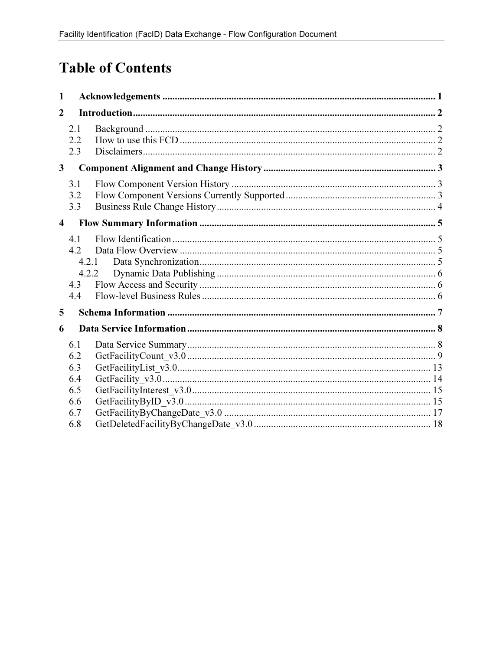## **Table of Contents**

| 1                       |                                                      |  |
|-------------------------|------------------------------------------------------|--|
| $\overline{2}$          |                                                      |  |
|                         | 2.1<br>2.2<br>2.3                                    |  |
| $\overline{\mathbf{3}}$ |                                                      |  |
|                         | 3.1<br>3.2<br>3.3                                    |  |
| $\overline{\mathbf{4}}$ |                                                      |  |
|                         | 4.1<br>4.2<br>4.2.1<br>4.2.2<br>4.3<br>4.4           |  |
| 5                       |                                                      |  |
| 6                       |                                                      |  |
|                         | 6.1<br>6.2<br>6.3<br>6.4<br>6.5<br>6.6<br>6.7<br>6.8 |  |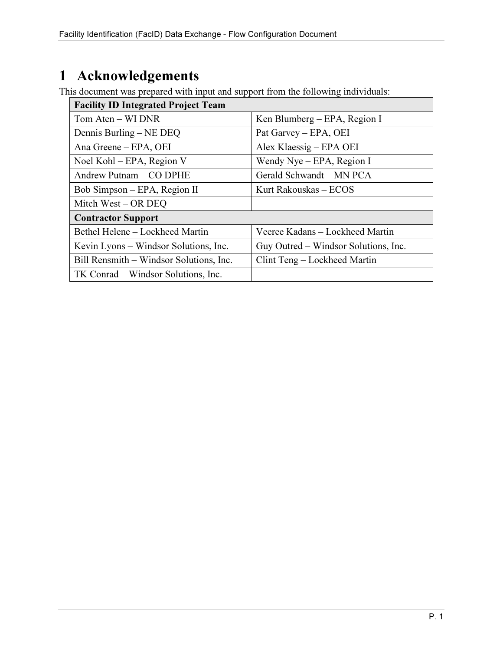## 1 Acknowledgements

This document was prepared with input and support from the following individuals:

| <b>Facility ID Integrated Project Team</b> |                                      |
|--------------------------------------------|--------------------------------------|
| Tom Aten – WI DNR                          | Ken Blumberg – EPA, Region I         |
| Dennis Burling – NE DEQ                    | Pat Garvey – EPA, OEI                |
| Ana Greene - EPA, OEI                      | Alex Klaessig – EPA OEI              |
| Noel Kohl – EPA, Region V                  | Wendy Nye $-$ EPA, Region I          |
| Andrew Putnam – CO DPHE                    | Gerald Schwandt – MN PCA             |
| Bob Simpson – EPA, Region II               | Kurt Rakouskas – ECOS                |
| Mitch West – OR DEQ                        |                                      |
| <b>Contractor Support</b>                  |                                      |
| Bethel Helene – Lockheed Martin            | Veeree Kadans – Lockheed Martin      |
| Kevin Lyons – Windsor Solutions, Inc.      | Guy Outred – Windsor Solutions, Inc. |
| Bill Rensmith – Windsor Solutions, Inc.    | Clint Teng – Lockheed Martin         |
| TK Conrad – Windsor Solutions, Inc.        |                                      |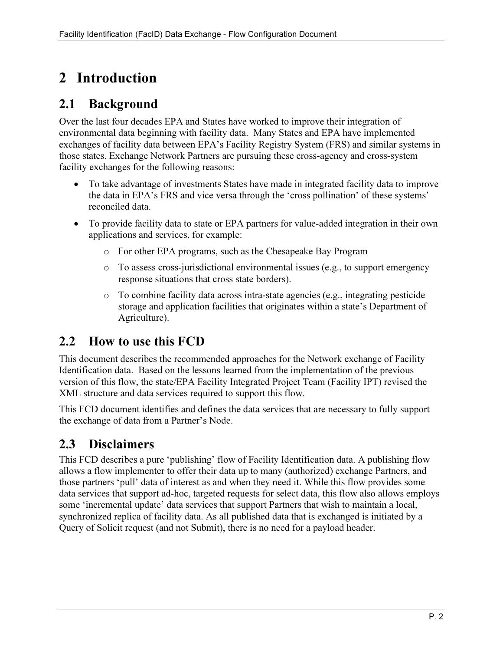## 2 Introduction

### 2.1 Background

Over the last four decades EPA and States have worked to improve their integration of environmental data beginning with facility data. Many States and EPA have implemented exchanges of facility data between EPA's Facility Registry System (FRS) and similar systems in those states. Exchange Network Partners are pursuing these cross-agency and cross-system facility exchanges for the following reasons:

- To take advantage of investments States have made in integrated facility data to improve the data in EPA's FRS and vice versa through the 'cross pollination' of these systems' reconciled data.
- To provide facility data to state or EPA partners for value-added integration in their own applications and services, for example:
	- o For other EPA programs, such as the Chesapeake Bay Program
	- $\circ$  To assess cross-jurisdictional environmental issues (e.g., to support emergency response situations that cross state borders).
	- $\circ$  To combine facility data across intra-state agencies (e.g., integrating pesticide storage and application facilities that originates within a state's Department of Agriculture).

### 2.2 How to use this FCD

This document describes the recommended approaches for the Network exchange of Facility Identification data. Based on the lessons learned from the implementation of the previous version of this flow, the state/EPA Facility Integrated Project Team (Facility IPT) revised the XML structure and data services required to support this flow.

This FCD document identifies and defines the data services that are necessary to fully support the exchange of data from a Partner's Node.

### 2.3 Disclaimers

This FCD describes a pure 'publishing' flow of Facility Identification data. A publishing flow allows a flow implementer to offer their data up to many (authorized) exchange Partners, and those partners 'pull' data of interest as and when they need it. While this flow provides some data services that support ad-hoc, targeted requests for select data, this flow also allows employs some 'incremental update' data services that support Partners that wish to maintain a local, synchronized replica of facility data. As all published data that is exchanged is initiated by a Query of Solicit request (and not Submit), there is no need for a payload header.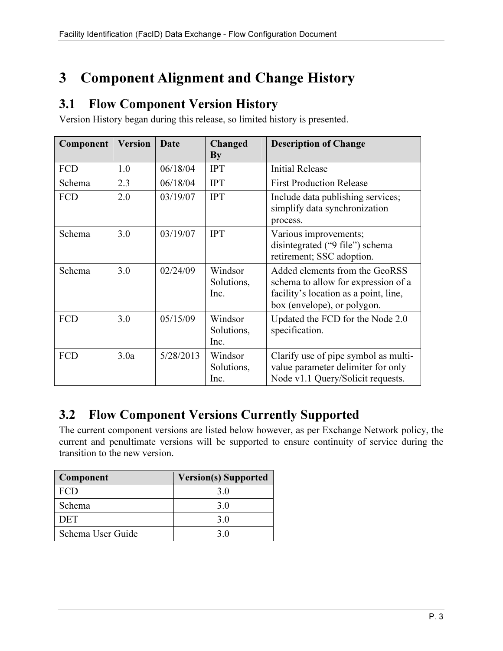## 3 Component Alignment and Change History

### 3.1 Flow Component Version History

Version History began during this release, so limited history is presented.

| Component  | <b>Version</b> | Date      | Changed<br><b>By</b>          | <b>Description of Change</b>                                                                                                                  |
|------------|----------------|-----------|-------------------------------|-----------------------------------------------------------------------------------------------------------------------------------------------|
| FCD        | 1.0            | 06/18/04  | <b>IPT</b>                    | <b>Initial Release</b>                                                                                                                        |
| Schema     | 2.3            | 06/18/04  | <b>IPT</b>                    | <b>First Production Release</b>                                                                                                               |
| <b>FCD</b> | 2.0            | 03/19/07  | <b>IPT</b>                    | Include data publishing services;<br>simplify data synchronization<br>process.                                                                |
| Schema     | 3.0            | 03/19/07  | <b>IPT</b>                    | Various improvements;<br>disintegrated ("9 file") schema<br>retirement; SSC adoption.                                                         |
| Schema     | 3.0            | 02/24/09  | Windsor<br>Solutions,<br>Inc. | Added elements from the GeoRSS<br>schema to allow for expression of a<br>facility's location as a point, line,<br>box (envelope), or polygon. |
| <b>FCD</b> | 3.0            | 05/15/09  | Windsor<br>Solutions,<br>Inc. | Updated the FCD for the Node 2.0<br>specification.                                                                                            |
| <b>FCD</b> | 3.0a           | 5/28/2013 | Windsor<br>Solutions,<br>Inc. | Clarify use of pipe symbol as multi-<br>value parameter delimiter for only<br>Node v1.1 Query/Solicit requests.                               |

### 3.2 Flow Component Versions Currently Supported

The current component versions are listed below however, as per Exchange Network policy, the current and penultimate versions will be supported to ensure continuity of service during the transition to the new version.

| Component         | <b>Version(s)</b> Supported |
|-------------------|-----------------------------|
| FCD               | 3.0                         |
| Schema            | 3.0                         |
| DET               | 3.0                         |
| Schema User Guide | 3 O                         |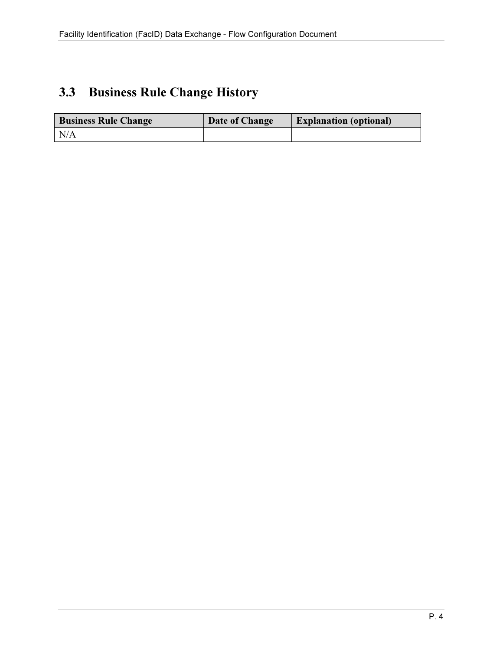### 3.3 Business Rule Change History

| <b>Business Rule Change</b> | Date of Change | <b>Explanation (optional)</b> |
|-----------------------------|----------------|-------------------------------|
| N/A                         |                |                               |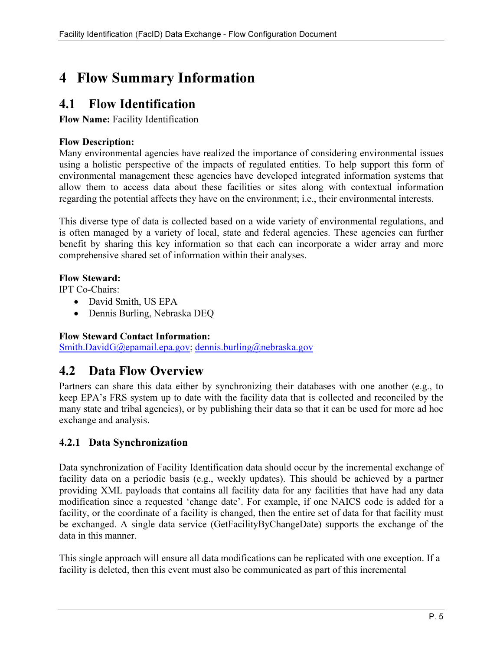## 4 Flow Summary Information

### 4.1 Flow Identification

Flow Name: Facility Identification

#### Flow Description:

Many environmental agencies have realized the importance of considering environmental issues using a holistic perspective of the impacts of regulated entities. To help support this form of environmental management these agencies have developed integrated information systems that allow them to access data about these facilities or sites along with contextual information regarding the potential affects they have on the environment; i.e., their environmental interests.

This diverse type of data is collected based on a wide variety of environmental regulations, and is often managed by a variety of local, state and federal agencies. These agencies can further benefit by sharing this key information so that each can incorporate a wider array and more comprehensive shared set of information within their analyses.

#### Flow Steward:

IPT Co-Chairs:

- David Smith, US EPA
- Dennis Burling, Nebraska DEQ

#### Flow Steward Contact Information:

Smith.DavidG@epamail.epa.gov; dennis.burling@nebraska.gov

### 4.2 Data Flow Overview

Partners can share this data either by synchronizing their databases with one another (e.g., to keep EPA's FRS system up to date with the facility data that is collected and reconciled by the many state and tribal agencies), or by publishing their data so that it can be used for more ad hoc exchange and analysis.

### 4.2.1 Data Synchronization

Data synchronization of Facility Identification data should occur by the incremental exchange of facility data on a periodic basis (e.g., weekly updates). This should be achieved by a partner providing XML payloads that contains all facility data for any facilities that have had any data modification since a requested 'change date'. For example, if one NAICS code is added for a facility, or the coordinate of a facility is changed, then the entire set of data for that facility must be exchanged. A single data service (GetFacilityByChangeDate) supports the exchange of the data in this manner.

This single approach will ensure all data modifications can be replicated with one exception. If a facility is deleted, then this event must also be communicated as part of this incremental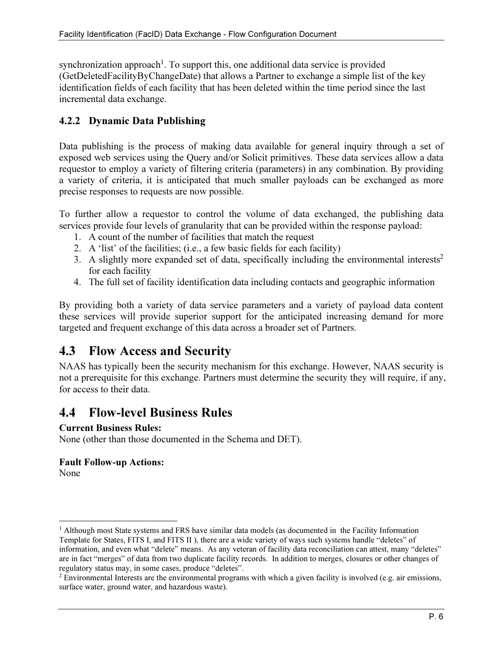synchronization approach<sup>1</sup>. To support this, one additional data service is provided (GetDeletedFacilityByChangeDate) that allows a Partner to exchange a simple list of the key identification fields of each facility that has been deleted within the time period since the last incremental data exchange.

### 4.2.2 Dynamic Data Publishing

Data publishing is the process of making data available for general inquiry through a set of exposed web services using the Query and/or Solicit primitives. These data services allow a data requestor to employ a variety of filtering criteria (parameters) in any combination. By providing a variety of criteria, it is anticipated that much smaller payloads can be exchanged as more precise responses to requests are now possible.

To further allow a requestor to control the volume of data exchanged, the publishing data services provide four levels of granularity that can be provided within the response payload:

- 1. A count of the number of facilities that match the request
- 2. A 'list' of the facilities; (i.e., a few basic fields for each facility)
- 3. A slightly more expanded set of data, specifically including the environmental interests<sup>2</sup> for each facility
- 4. The full set of facility identification data including contacts and geographic information

By providing both a variety of data service parameters and a variety of payload data content these services will provide superior support for the anticipated increasing demand for more targeted and frequent exchange of this data across a broader set of Partners.

### 4.3 Flow Access and Security

NAAS has typically been the security mechanism for this exchange. However, NAAS security is not a prerequisite for this exchange. Partners must determine the security they will require, if any, for access to their data.

### 4.4 Flow-level Business Rules

#### Current Business Rules:

None (other than those documented in the Schema and DET).

#### Fault Follow-up Actions:

None

<sup>-</sup><sup>1</sup> Although most State systems and FRS have similar data models (as documented in the Facility Information Template for States, FITS I, and FITS II ), there are a wide variety of ways such systems handle "deletes" of information, and even what "delete" means. As any veteran of facility data reconciliation can attest, many "deletes" are in fact "merges" of data from two duplicate facility records. In addition to merges, closures or other changes of regulatory status may, in some cases, produce "deletes".

 $2 \text{ Environmental Interests}$  are the environmental programs with which a given facility is involved (e.g. air emissions, surface water, ground water, and hazardous waste).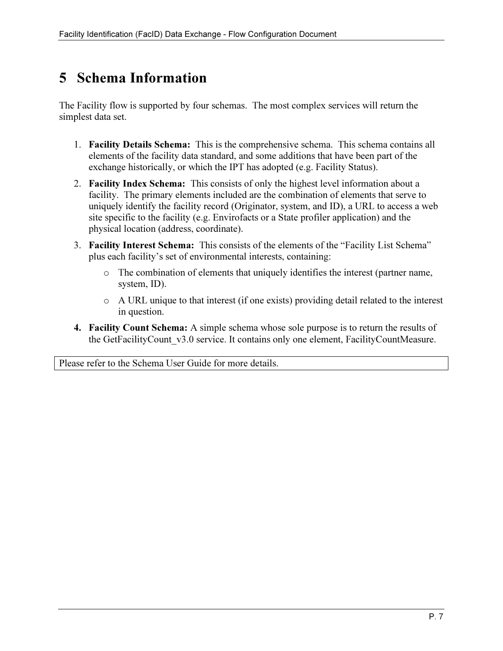## 5 Schema Information

The Facility flow is supported by four schemas. The most complex services will return the simplest data set.

- 1. Facility Details Schema: This is the comprehensive schema. This schema contains all elements of the facility data standard, and some additions that have been part of the exchange historically, or which the IPT has adopted (e.g. Facility Status).
- 2. Facility Index Schema: This consists of only the highest level information about a facility. The primary elements included are the combination of elements that serve to uniquely identify the facility record (Originator, system, and ID), a URL to access a web site specific to the facility (e.g. Envirofacts or a State profiler application) and the physical location (address, coordinate).
- 3. Facility Interest Schema: This consists of the elements of the "Facility List Schema" plus each facility's set of environmental interests, containing:
	- $\circ$  The combination of elements that uniquely identifies the interest (partner name, system, ID).
	- o A URL unique to that interest (if one exists) providing detail related to the interest in question.
- 4. Facility Count Schema: A simple schema whose sole purpose is to return the results of the GetFacilityCount\_v3.0 service. It contains only one element, FacilityCountMeasure.

Please refer to the Schema User Guide for more details.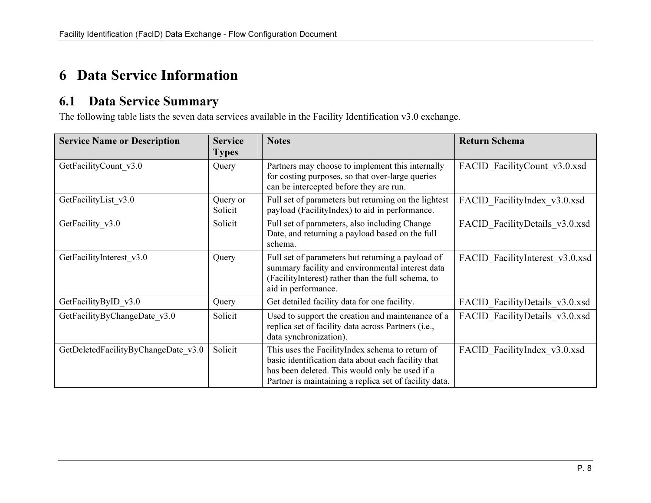## 6 Data Service Information

#### 6.1Data Service Summary

The following table lists the seven data services available in the Facility Identification v3.0 exchange.

| <b>Service Name or Description</b>  | <b>Service</b><br><b>Types</b> | <b>Notes</b>                                                                                                                                                                                                      | <b>Return Schema</b>            |
|-------------------------------------|--------------------------------|-------------------------------------------------------------------------------------------------------------------------------------------------------------------------------------------------------------------|---------------------------------|
| GetFacilityCount v3.0               | Query                          | Partners may choose to implement this internally<br>for costing purposes, so that over-large queries<br>can be intercepted before they are run.                                                                   | FACID FacilityCount v3.0.xsd    |
| GetFacilityList v3.0                | Query or<br>Solicit            | Full set of parameters but returning on the lightest<br>payload (FacilityIndex) to aid in performance.                                                                                                            | FACID FacilityIndex_v3.0.xsd    |
| GetFacility v3.0                    | Solicit                        | Full set of parameters, also including Change<br>Date, and returning a payload based on the full<br>schema.                                                                                                       | FACID FacilityDetails v3.0.xsd  |
| GetFacilityInterest v3.0            | Query                          | Full set of parameters but returning a payload of<br>summary facility and environmental interest data<br>(FacilityInterest) rather than the full schema, to<br>aid in performance.                                | FACID FacilityInterest v3.0.xsd |
| GetFacilityByID_v3.0                | Query                          | Get detailed facility data for one facility.                                                                                                                                                                      | FACID FacilityDetails v3.0.xsd  |
| GetFacilityByChangeDate v3.0        | Solicit                        | Used to support the creation and maintenance of a<br>replica set of facility data across Partners (i.e.,<br>data synchronization).                                                                                | FACID FacilityDetails v3.0.xsd  |
| GetDeletedFacilityByChangeDate v3.0 | Solicit                        | This uses the FacilityIndex schema to return of<br>basic identification data about each facility that<br>has been deleted. This would only be used if a<br>Partner is maintaining a replica set of facility data. | FACID FacilityIndex v3.0.xsd    |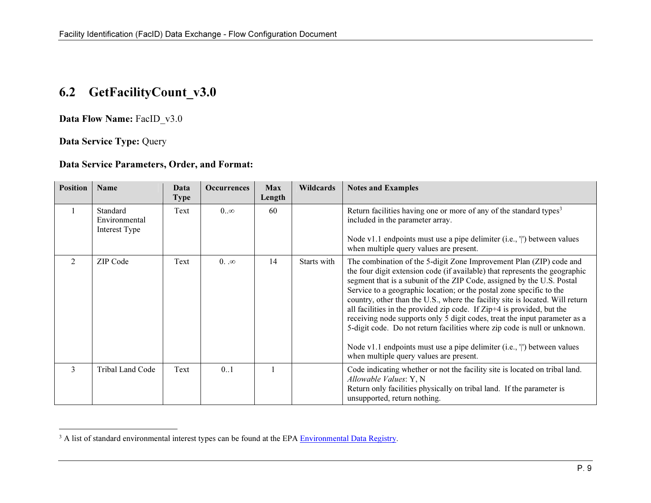## 6.2 GetFacilityCount\_v3.0

Data Flow Name: FacID\_v3.0

Data Service Type: Query

#### Data Service Parameters, Order, and Format:

| <b>Position</b> | Name                                       | Data<br><b>Type</b> | <b>Occurrences</b> | <b>Max</b><br>Length | Wildcards   | <b>Notes and Examples</b>                                                                                                                                                                                                                                                                                                                                                                                                                                                                                                                                                                                                                                                                                                                                  |
|-----------------|--------------------------------------------|---------------------|--------------------|----------------------|-------------|------------------------------------------------------------------------------------------------------------------------------------------------------------------------------------------------------------------------------------------------------------------------------------------------------------------------------------------------------------------------------------------------------------------------------------------------------------------------------------------------------------------------------------------------------------------------------------------------------------------------------------------------------------------------------------------------------------------------------------------------------------|
|                 | Standard<br>Environmental<br>Interest Type | Text                | $0\infty$          | 60                   |             | Return facilities having one or more of any of the standard types <sup>3</sup><br>included in the parameter array.                                                                                                                                                                                                                                                                                                                                                                                                                                                                                                                                                                                                                                         |
|                 |                                            |                     |                    |                      |             | Node v1.1 endpoints must use a pipe delimiter (i.e., ") between values<br>when multiple query values are present.                                                                                                                                                                                                                                                                                                                                                                                                                                                                                                                                                                                                                                          |
| $\mathfrak{D}$  | ZIP Code                                   | Text                | $\infty$ . 0       | 14                   | Starts with | The combination of the 5-digit Zone Improvement Plan (ZIP) code and<br>the four digit extension code (if available) that represents the geographic<br>segment that is a subunit of the ZIP Code, assigned by the U.S. Postal<br>Service to a geographic location; or the postal zone specific to the<br>country, other than the U.S., where the facility site is located. Will return<br>all facilities in the provided zip code. If $\mathbb{Z}ip+4$ is provided, but the<br>receiving node supports only 5 digit codes, treat the input parameter as a<br>5-digit code. Do not return facilities where zip code is null or unknown.<br>Node v1.1 endpoints must use a pipe delimiter (i.e., ") between values<br>when multiple query values are present. |
| 3               | Tribal Land Code                           | Text                | 0.1                |                      |             | Code indicating whether or not the facility site is located on tribal land.<br>Allowable Values: Y, N<br>Return only facilities physically on tribal land. If the parameter is<br>unsupported, return nothing.                                                                                                                                                                                                                                                                                                                                                                                                                                                                                                                                             |

<sup>&</sup>lt;sup>3</sup> A list of standard environmental interest types can be found at the EPA **Environmental Data Registry**.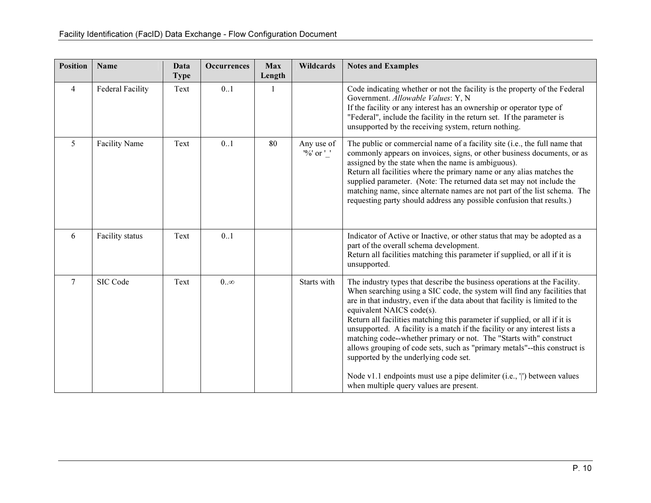| <b>Position</b> | Name                    | Data<br><b>Type</b> | <b>Occurrences</b> | <b>Max</b><br>Length | Wildcards                                     | <b>Notes and Examples</b>                                                                                                                                                                                                                                                                                                                                                                                                                                                                                                                                                                                                                                                                                                                        |
|-----------------|-------------------------|---------------------|--------------------|----------------------|-----------------------------------------------|--------------------------------------------------------------------------------------------------------------------------------------------------------------------------------------------------------------------------------------------------------------------------------------------------------------------------------------------------------------------------------------------------------------------------------------------------------------------------------------------------------------------------------------------------------------------------------------------------------------------------------------------------------------------------------------------------------------------------------------------------|
| $\overline{4}$  | <b>Federal Facility</b> | Text                | 0.1                |                      |                                               | Code indicating whether or not the facility is the property of the Federal<br>Government. Allowable Values: Y, N<br>If the facility or any interest has an ownership or operator type of<br>"Federal", include the facility in the return set. If the parameter is<br>unsupported by the receiving system, return nothing.                                                                                                                                                                                                                                                                                                                                                                                                                       |
| 5               | <b>Facility Name</b>    | Text                | 0.1                | 80                   | Any use of<br>$\frac{10}{6}$ or $\frac{1}{1}$ | The public or commercial name of a facility site (i.e., the full name that<br>commonly appears on invoices, signs, or other business documents, or as<br>assigned by the state when the name is ambiguous).<br>Return all facilities where the primary name or any alias matches the<br>supplied parameter. (Note: The returned data set may not include the<br>matching name, since alternate names are not part of the list schema. The<br>requesting party should address any possible confusion that results.)                                                                                                                                                                                                                               |
| 6               | Facility status         | Text                | 0.1                |                      |                                               | Indicator of Active or Inactive, or other status that may be adopted as a<br>part of the overall schema development.<br>Return all facilities matching this parameter if supplied, or all if it is<br>unsupported.                                                                                                                                                                                                                                                                                                                                                                                                                                                                                                                               |
| $\overline{7}$  | SIC Code                | Text                | $0\infty$          |                      | Starts with                                   | The industry types that describe the business operations at the Facility.<br>When searching using a SIC code, the system will find any facilities that<br>are in that industry, even if the data about that facility is limited to the<br>equivalent NAICS code(s).<br>Return all facilities matching this parameter if supplied, or all if it is<br>unsupported. A facility is a match if the facility or any interest lists a<br>matching code--whether primary or not. The "Starts with" construct<br>allows grouping of code sets, such as "primary metals"--this construct is<br>supported by the underlying code set.<br>Node v1.1 endpoints must use a pipe delimiter (i.e., ") between values<br>when multiple query values are present. |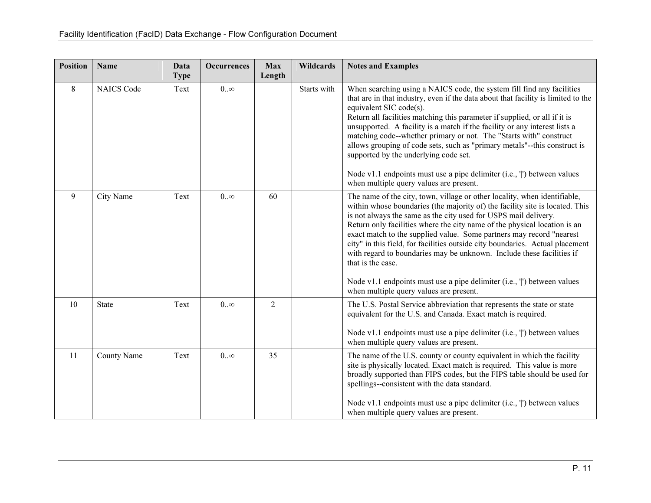| <b>Position</b> | Name               | Data<br><b>Type</b> | <b>Occurrences</b> | <b>Max</b><br>Length | Wildcards   | <b>Notes and Examples</b>                                                                                                                                                                                                                                                                                                                                                                                                                                                                                                                                                                                                                                                             |
|-----------------|--------------------|---------------------|--------------------|----------------------|-------------|---------------------------------------------------------------------------------------------------------------------------------------------------------------------------------------------------------------------------------------------------------------------------------------------------------------------------------------------------------------------------------------------------------------------------------------------------------------------------------------------------------------------------------------------------------------------------------------------------------------------------------------------------------------------------------------|
| 8               | <b>NAICS Code</b>  | Text                | $0\infty$          |                      | Starts with | When searching using a NAICS code, the system fill find any facilities<br>that are in that industry, even if the data about that facility is limited to the<br>equivalent SIC code(s).<br>Return all facilities matching this parameter if supplied, or all if it is<br>unsupported. A facility is a match if the facility or any interest lists a<br>matching code--whether primary or not. The "Starts with" construct<br>allows grouping of code sets, such as "primary metals"--this construct is<br>supported by the underlying code set.<br>Node v1.1 endpoints must use a pipe delimiter (i.e., ") between values<br>when multiple query values are present.                   |
| 9               | City Name          | Text                | $0\infty$          | 60                   |             | The name of the city, town, village or other locality, when identifiable,<br>within whose boundaries (the majority of) the facility site is located. This<br>is not always the same as the city used for USPS mail delivery.<br>Return only facilities where the city name of the physical location is an<br>exact match to the supplied value. Some partners may record "nearest<br>city" in this field, for facilities outside city boundaries. Actual placement<br>with regard to boundaries may be unknown. Include these facilities if<br>that is the case.<br>Node v1.1 endpoints must use a pipe delimiter (i.e., ") between values<br>when multiple query values are present. |
| 10              | <b>State</b>       | Text                | $0\infty$          | $\overline{2}$       |             | The U.S. Postal Service abbreviation that represents the state or state<br>equivalent for the U.S. and Canada. Exact match is required.<br>Node v1.1 endpoints must use a pipe delimiter (i.e., ") between values<br>when multiple query values are present.                                                                                                                                                                                                                                                                                                                                                                                                                          |
| 11              | <b>County Name</b> | Text                | $0\infty$          | 35                   |             | The name of the U.S. county or county equivalent in which the facility<br>site is physically located. Exact match is required. This value is more<br>broadly supported than FIPS codes, but the FIPS table should be used for<br>spellings--consistent with the data standard.<br>Node v1.1 endpoints must use a pipe delimiter (i.e., ") between values<br>when multiple query values are present.                                                                                                                                                                                                                                                                                   |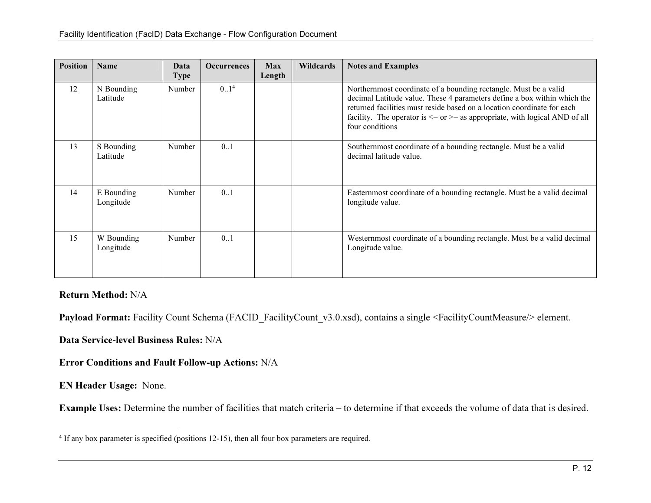| <b>Position</b> | Name                    | Data<br><b>Type</b> | <b>Occurrences</b> | <b>Max</b><br>Length | <b>Wildcards</b> | <b>Notes and Examples</b>                                                                                                                                                                                                                                                                                                        |
|-----------------|-------------------------|---------------------|--------------------|----------------------|------------------|----------------------------------------------------------------------------------------------------------------------------------------------------------------------------------------------------------------------------------------------------------------------------------------------------------------------------------|
| 12              | N Bounding<br>Latitude  | Number              | 0.1 <sup>4</sup>   |                      |                  | Northernmost coordinate of a bounding rectangle. Must be a valid<br>decimal Latitude value. These 4 parameters define a box within which the<br>returned facilities must reside based on a location coordinate for each<br>facility. The operator is $\leq$ or $\geq$ as appropriate, with logical AND of all<br>four conditions |
| 13              | S Bounding<br>Latitude  | Number              | 0.1                |                      |                  | Southernmost coordinate of a bounding rectangle. Must be a valid<br>decimal latitude value.                                                                                                                                                                                                                                      |
| 14              | E Bounding<br>Longitude | Number              | 0.1                |                      |                  | Easternmost coordinate of a bounding rectangle. Must be a valid decimal<br>longitude value.                                                                                                                                                                                                                                      |
| 15              | W Bounding<br>Longitude | Number              | 0.1                |                      |                  | Westernmost coordinate of a bounding rectangle. Must be a valid decimal<br>Longitude value.                                                                                                                                                                                                                                      |

Return Method: N/A

Payload Format: Facility Count Schema (FACID\_FacilityCount\_v3.0.xsd), contains a single <FacilityCountMeasure/> element.

Data Service-level Business Rules: N/A

Error Conditions and Fault Follow-up Actions: N/A

EN Header Usage: None.

Example Uses: Determine the number of facilities that match criteria – to determine if that exceeds the volume of data that is desired.

<sup>4</sup> If any box parameter is specified (positions 12-15), then all four box parameters are required.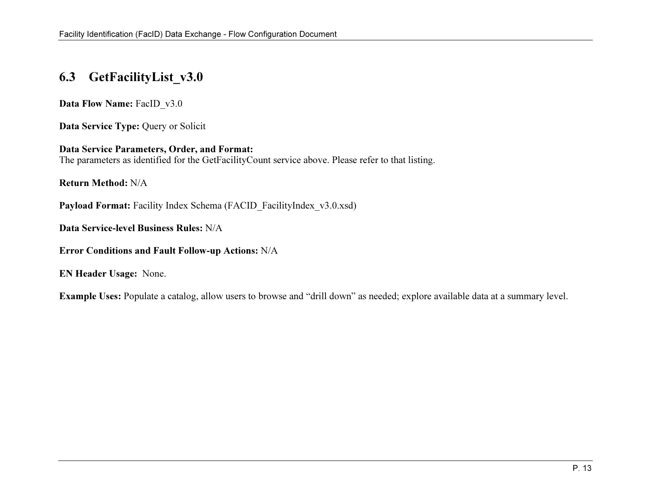## 6.3 GetFacilityList\_v3.0

Data Flow Name: FacID v3.0

Data Service Type: Query or Solicit

Data Service Parameters, Order, and Format: The parameters as identified for the GetFacilityCount service above. Please refer to that listing.

Return Method: N/A

Payload Format: Facility Index Schema (FACID\_FacilityIndex\_v3.0.xsd)

Data Service-level Business Rules: N/A

Error Conditions and Fault Follow-up Actions: N/A

EN Header Usage: None.

Example Uses: Populate a catalog, allow users to browse and "drill down" as needed; explore available data at a summary level.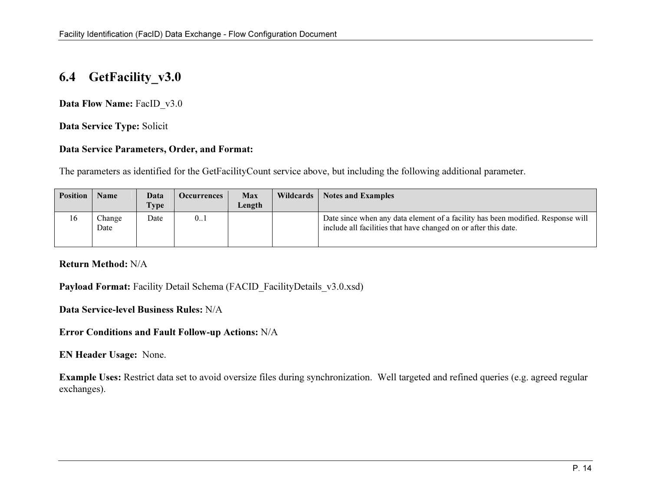## 6.4 GetFacility\_v3.0

Data Flow Name: FacID v3.0

Data Service Type: Solicit

#### Data Service Parameters, Order, and Format:

The parameters as identified for the GetFacilityCount service above, but including the following additional parameter.

| <b>Position</b> | <b>Name</b>    | Data<br><b>Type</b> | <b>Occurrences</b> | Max<br>Length | Wildcards | <b>Notes and Examples</b>                                                                                                                          |
|-----------------|----------------|---------------------|--------------------|---------------|-----------|----------------------------------------------------------------------------------------------------------------------------------------------------|
| 16              | Change<br>Date | Date                | 01                 |               |           | Date since when any data element of a facility has been modified. Response will<br>include all facilities that have changed on or after this date. |

Return Method: N/A

Payload Format: Facility Detail Schema (FACID\_FacilityDetails\_v3.0.xsd)

Data Service-level Business Rules: N/A

Error Conditions and Fault Follow-up Actions: N/A

EN Header Usage: None.

Example Uses: Restrict data set to avoid oversize files during synchronization. Well targeted and refined queries (e.g. agreed regular exchanges).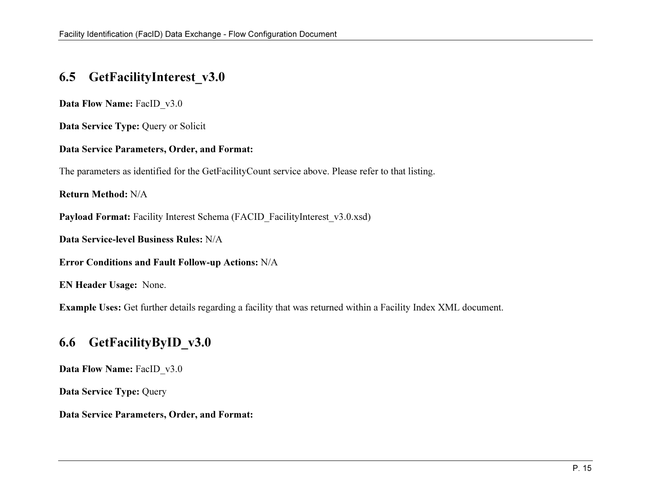#### 6.5GetFacilityInterest\_v3.0

Data Flow Name: FacID v3.0

Data Service Type: Query or Solicit

#### Data Service Parameters, Order, and Format:

The parameters as identified for the GetFacilityCount service above. Please refer to that listing.

Return Method: N/A

Payload Format: Facility Interest Schema (FACID\_FacilityInterest\_v3.0.xsd)

Data Service-level Business Rules: N/A

Error Conditions and Fault Follow-up Actions: N/A

EN Header Usage: None.

Example Uses: Get further details regarding a facility that was returned within a Facility Index XML document.

#### 6.6GetFacilityByID v3.0

Data Flow Name: FacID v3.0

Data Service Type: Query

Data Service Parameters, Order, and Format: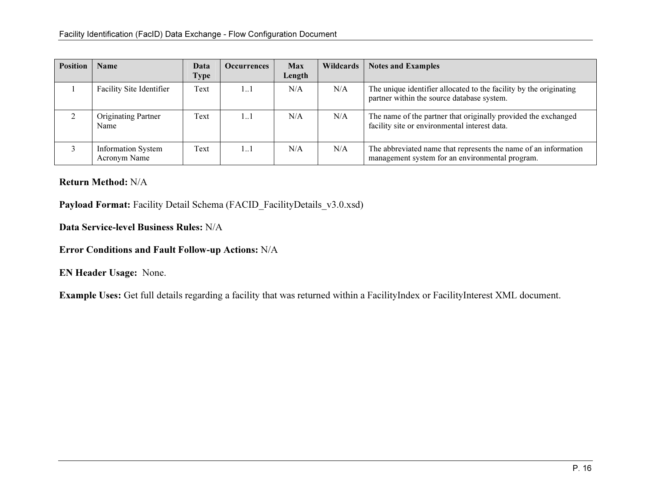| <b>Position</b> | <b>Name</b>                               | Data<br>Type | <b>Occurrences</b> | <b>Max</b><br>Length | <b>Wildcards</b> | <b>Notes and Examples</b>                                                                                          |
|-----------------|-------------------------------------------|--------------|--------------------|----------------------|------------------|--------------------------------------------------------------------------------------------------------------------|
|                 | Facility Site Identifier                  | Text         | $1_{}1$            | N/A                  | N/A              | The unique identifier allocated to the facility by the originating<br>partner within the source database system.   |
|                 | <b>Originating Partner</b><br>Name        | Text         | 11                 | N/A                  | N/A              | The name of the partner that originally provided the exchanged<br>facility site or environmental interest data.    |
|                 | <b>Information System</b><br>Acronym Name | Text         | $1_{}1$            | N/A                  | N/A              | The abbreviated name that represents the name of an information<br>management system for an environmental program. |

#### Return Method: N/A

Payload Format: Facility Detail Schema (FACID\_FacilityDetails\_v3.0.xsd)

#### Data Service-level Business Rules: N/A

Error Conditions and Fault Follow-up Actions: N/A

EN Header Usage: None.

Example Uses: Get full details regarding a facility that was returned within a FacilityIndex or FacilityInterest XML document.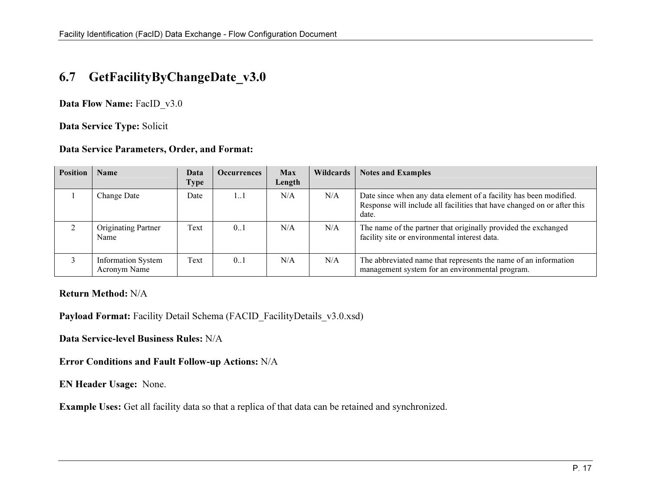#### 6.7GetFacilityByChangeDate\_v3.0

Data Flow Name: FacID v3.0

Data Service Type: Solicit

#### Data Service Parameters, Order, and Format:

| <b>Position</b> | <b>Name</b>                               | Data<br><b>Type</b> | <b>Occurrences</b> | <b>Max</b><br>Length | Wildcards | <b>Notes and Examples</b>                                                                                                                             |
|-----------------|-------------------------------------------|---------------------|--------------------|----------------------|-----------|-------------------------------------------------------------------------------------------------------------------------------------------------------|
|                 | Change Date                               | Date                | $1_{}$             | N/A                  | N/A       | Date since when any data element of a facility has been modified.<br>Response will include all facilities that have changed on or after this<br>date. |
|                 | Originating Partner<br>Name               | Text                | 0.1                | N/A                  | N/A       | The name of the partner that originally provided the exchanged<br>facility site or environmental interest data.                                       |
|                 | <b>Information System</b><br>Acronym Name | Text                | 0.1                | N/A                  | N/A       | The abbreviated name that represents the name of an information<br>management system for an environmental program.                                    |

Return Method: N/A

Payload Format: Facility Detail Schema (FACID\_FacilityDetails\_v3.0.xsd)

Data Service-level Business Rules: N/A

Error Conditions and Fault Follow-up Actions: N/A

EN Header Usage: None.

Example Uses: Get all facility data so that a replica of that data can be retained and synchronized.